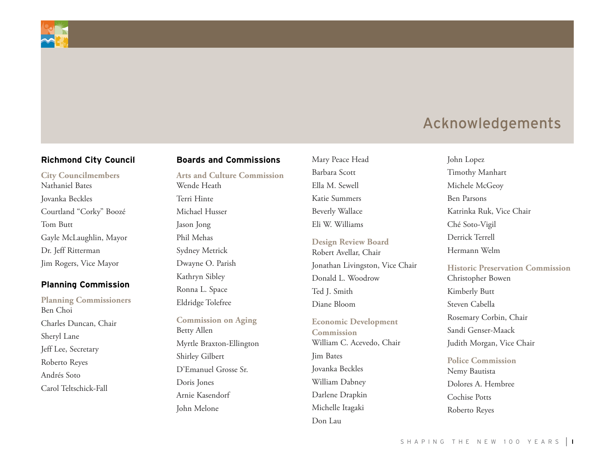

### **Richmond City Council**

**City Councilmembers** Nathaniel Bates Jovanka Beckles Courtland "Corky" Boozé Tom Butt Gayle McLaughlin, Mayor Dr. Jeff Ritterman Jim Rogers, Vice Mayor

### **Planning Commission**

**Planning Commissioners** Ben Choi Charles Duncan, Chair Sheryl Lane Jeff Lee, Secretary Roberto Reyes Andrés Soto Carol Teltschick-Fall

### **Boards and Commissions**

**Arts and Culture Commission** Wende Heath Terri Hinte Michael Husser Jason Jong Phil Mehas Sydney Metrick Dwayne O. Parish Kathryn Sibley Ronna L. Space Eldridge Tolefree

**Commission on Aging** Betty Allen Myrtle Braxton-Ellington Shirley Gilbert D'Emanuel Grosse Sr. Doris Jones Arnie Kasendorf John Melone

Mary Peace Head Barbara Scott Ella M. Sewell Katie Summers Beverly Wallace Eli W. Williams

**Design Review Board** Robert Avellar, Chair Jonathan Livingston, Vice Chair Donald L. Woodrow Ted I. Smith Diane Bloom

**Economic Development Commission** William C. Acevedo, Chair Jim Bates Jovanka Beckles William Dabney Darlene Drapkin Michelle Itagaki Don Lau

John Lopez Timothy Manhart Michele McGeoy Ben Parsons Katrinka Ruk, Vice Chair Ché Soto-Vigil Derrick Terrell Hermann Welm

**Historic Preservation Commission** Christopher Bowen Kimberly Butt Steven Cabella Rosemary Corbin, Chair Sandi Genser-Maack Judith Morgan, Vice Chair

**Police Commission** Nemy Bautista Dolores A. Hembree Cochise Potts Roberto Reyes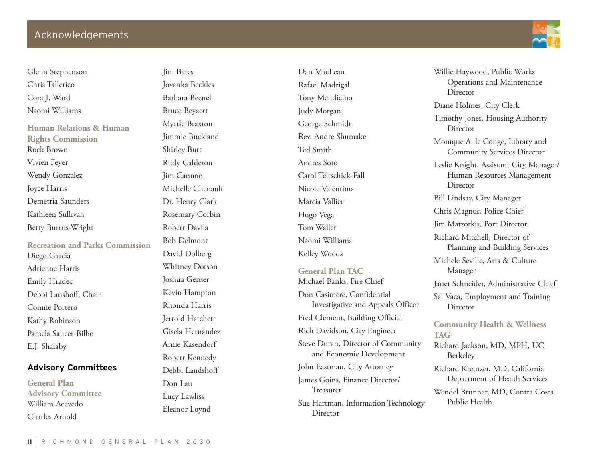Glenn Stephenson Chris Tallerico Cora J. Ward Naomi Williams

**Human Relations & Human Rights Commission**  Rock Brown Vivien Feyer Wendy Gonzalez Joyce Harris Demetria Saunders Kathleen Sullivan Betty Burrus-Wright

**Recreation and Parks Commission** Diego Garcia Adrienne Harris Emily Hradec Debbi Lanshoff, Chair Connie Portero Kathy Robinson Pamela Saucer-Bilbo E.J. Shalaby

### **Advisory Committees**

**General Plan Advisory Committee** William Acevedo Charles Arnold

Jim Bates Jovanka Beckles Barbara Becnel Bruce Beyaert Myrtle Braxton Jimmie Buckland Shirley Butt Rudy Calderon Jim Cannon Michelle Chenault Dr. Henry Clark Rosemary Corbin Robert Davila Bob Delmont David Dolberg Whitney Dotson Joshua Genser Kevin Hampton Rhonda Harris Jerrold Hatchett Gisela Hernández Arnie Kasendorf Robert Kennedy Debbi Landshoff Don Lau Lucy Lawliss

Eleanor Loynd

Dan MacLean Rafael Madrigal Tony Mendicino Judy Morgan George Schmidt Rev. Andre Shumake Ted Smith Andres Soto Carol Teltschick-Fall Nicole Valentino Marcia Vallier Hugo Vega Tom Waller Naomi Williams Kelley Woods **General Plan TAC**

Michael Banks, Fire Chief Don Casimere, Confidential Investigative and Appeals Officer Fred Clement, Building Official Rich Davidson, City Engineer Steve Duran, Director of Community and Economic Development John Eastman, City Attorney James Goins, Finance Director/ Treasurer Sue Hartman, Information Technology Director



Willie Haywood, Public Works Operations and Maintenance Director Diane Holmes, City Clerk Timothy Jones, Housing Authority Director Monique A. le Conge, Library and Community Services Director Leslie Knight, Assistant City Manager/ Human Resources Management Director Bill Lindsay, City Manager Chris Magnus, Police Chief Jim Matzorkis, Port Director Richard Mitchell, Director of Planning and Building Services Michele Seville, Arts & Culture Manager Janet Schneider, Administrative Chief Sal Vaca, Employment and Training Director **Community Health & Wellness TAG** Richard Jackson, MD, MPH, UC Berkeley Richard Kreutzer, MD, California

Wendel Brunner, MD, Contra Costa Public Health

Department of Health Services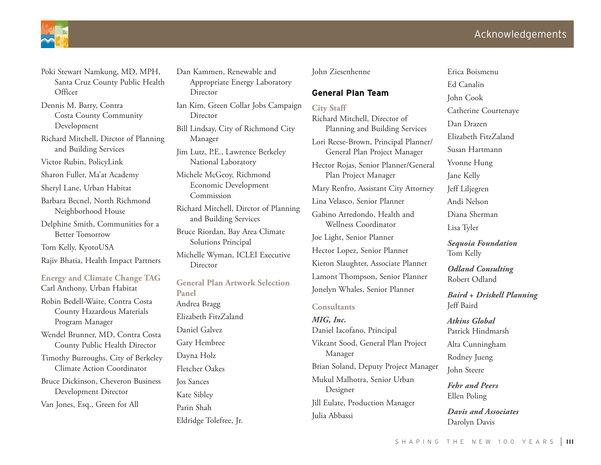

- Poki Stewart Namkung, MD, MPH, Santa Cruz County Public Health **Officer**
- Dennis M. Barry, Contra Costa County Community Development
- Richard Mitchell, Dirctor of Planning and Building Services

Victor Rubin, PolicyLink

- Sharon Fuller, Ma'at Academy
- Sheryl Lane, Urban Habitat

Barbara Becnel, North Richmond Neighborhood House

Delphine Smith, Communities for a Better Tomorrow

Tom Kelly, KyotoUSA

Rajiv Bhatia, Health Impact Partners

**Energy and Climate Change TAG** Carl Anthony, Urban Habitat

Robin Bedell-Waite, Contra Costa County Hazardous Materials Program Manager

Wendel Brunner, MD, Contra Costa County Public Health Director

Timothy Burroughs, City of Berkeley Climate Action Coordinator

Bruce Dickinson, Cheveron Business Development Director Van Jones, Esq., Green for All

Dan Kammen, Renewable and Appropriate Energy Laboratory Director Ian Kim, Green Collar Jobs Campaign Director Bill Lindsay, City of Richmond City Manager Jim Lutz, P.E., Lawrence Berkeley National Laboratory Michele McGeoy, Richmond Economic Development Commission Richard Mitchell, Dirctor of Planning and Building Services Bruce Riordan, Bay Area Climate Solutions Principal Michelle Wyman, ICLEI Executive Director **General Plan Artwork Selection Panel** Andrea Bragg Elizabeth FitzZaland Daniel Galvez Gary Hembree Dayna Holz Fletcher Oakes Jos Sances Kate Sibley

Parin Shah

Eldridge Tolefree, Jr.

### John Ziesenhenne

### **General Plan Team**

**City Staff** Richard Mitchell, Director of Planning and Building Services Lori Reese-Brown, Principal Planner/ General Plan Project Manager Hector Rojas, Senior Planner/General Plan Project Manager Mary Renfro, Assistant City Attorney Lina Velasco, Senior Planner Gabino Arredondo, Health and Wellness Coordinator Joe Light, Senior Planner Hector Lopez, Senior Planner Kieron Slaughter, Associate Planner Lamont Thompson, Senior Planner Jonelyn Whales, Senior Planner

#### **Consultants**

*MIG, Inc.* Daniel Iacofano, Principal Vikrant Sood, General Plan Project Manager Brian Soland, Deputy Project Manager Mukul Malhotra, Senior Urban Designer Jill Eulate, Production Manager Julia Abbassi

Erica Boismenu Ed Canalin John Cook Catherine Courtenaye Dan Drazen Elizabeth FitzZaland Susan Hartmann Yvonne Hung Jane Kelly Jeff Liljegren Andi Nelson Diana Sherman Lisa Tyler

*Sequoia Foundation* Tom Kelly

*Odland Consulting* Robert Odland

*Baird + Driskell Planning* Jeff Baird

*Atkins Global* Patrick Hindmarsh Alta Cunningham

Rodney Jueng

John Steere

*Fehr and Peers* Ellen Poling

*Davis and Associates* Darolyn Davis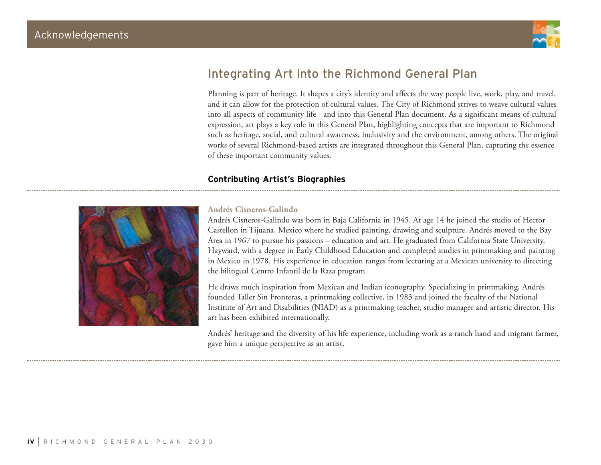

## Integrating Art into the Richmond General Plan

Planning is part of heritage. It shapes a city's identity and affects the way people live, work, play, and travel, and it can allow for the protection of cultural values. The City of Richmond strives to weave cultural values into all aspects of community life - and into this General Plan document. As a significant means of cultural expression, art plays a key role in this General Plan, highlighting concepts that are important to Richmond such as heritage, social, and cultural awareness, inclusivity and the environment, among others. The original works of several Richmond-based artists are integrated throughout this General Plan, capturing the essence of these important community values.

### **Contributing Artist's Biographies**



### **Andrés Cisneros-Galindo**

Andrés Cisneros-Galindo was born in Baja California in 1945. At age 14 he joined the studio of Hector Castellon in Tijuana, Mexico where he studied painting, drawing and sculpture. Andrés moved to the Bay Area in 1967 to pursue his passions – education and art. He graduated from California State University, Hayward, with a degree in Early Childhood Education and completed studies in printmaking and painting in Mexico in 1978. His experience in education ranges from lecturing at a Mexican university to directing the bilingual Centro Infantil de la Raza program.

He draws much inspiration from Mexican and Indian iconography. Specializing in printmaking, Andrés founded Taller Sin Fronteras, a printmaking collective, in 1983 and joined the faculty of the National Institute of Art and Disabilities (NIAD) as a printmaking teacher, studio manager and artistic director. His art has been exhibited internationally.

Andrés' heritage and the diversity of his life experience, including work as a ranch hand and migrant farmer, gave him a unique perspective as an artist.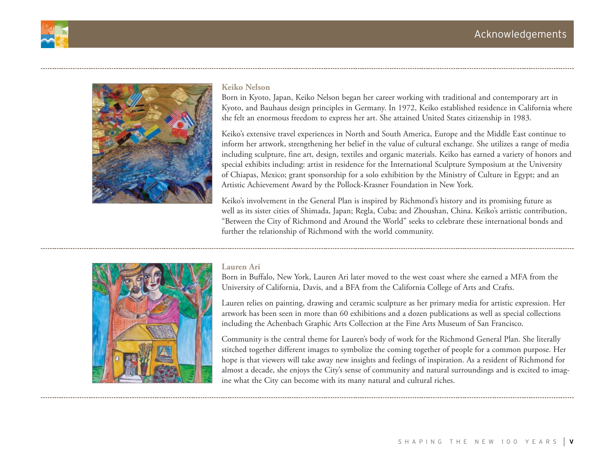



### **Keiko Nelson**

Born in Kyoto, Japan, Keiko Nelson began her career working with traditional and contemporary art in Kyoto, and Bauhaus design principles in Germany. In 1972, Keiko established residence in California where she felt an enormous freedom to express her art. She attained United States citizenship in 1983.

Keiko's extensive travel experiences in North and South America, Europe and the Middle East continue to inform her artwork, strengthening her belief in the value of cultural exchange. She utilizes a range of media including sculpture, fine art, design, textiles and organic materials. Keiko has earned a variety of honors and special exhibits including: artist in residence for the International Sculpture Symposium at the University of Chiapas, Mexico; grant sponsorship for a solo exhibition by the Ministry of Culture in Egypt; and an Artistic Achievement Award by the Pollock-Krasner Foundation in New York.

Keiko's involvement in the General Plan is inspired by Richmond's history and its promising future as well as its sister cities of Shimada, Japan; Regla, Cuba; and Zhoushan, China. Keiko's artistic contribution, "Between the City of Richmond and Around the World" seeks to celebrate these international bonds and further the relationship of Richmond with the world community.



### **Lauren Ari**

Born in Buffalo, New York, Lauren Ari later moved to the west coast where she earned a MFA from the University of California, Davis, and a BFA from the California College of Arts and Crafts.

Lauren relies on painting, drawing and ceramic sculpture as her primary media for artistic expression. Her artwork has been seen in more than 60 exhibitions and a dozen publications as well as special collections including the Achenbach Graphic Arts Collection at the Fine Arts Museum of San Francisco.

Community is the central theme for Lauren's body of work for the Richmond General Plan. She literally stitched together different images to symbolize the coming together of people for a common purpose. Her hope is that viewers will take away new insights and feelings of inspiration. As a resident of Richmond for almost a decade, she enjoys the City's sense of community and natural surroundings and is excited to imagine what the City can become with its many natural and cultural riches.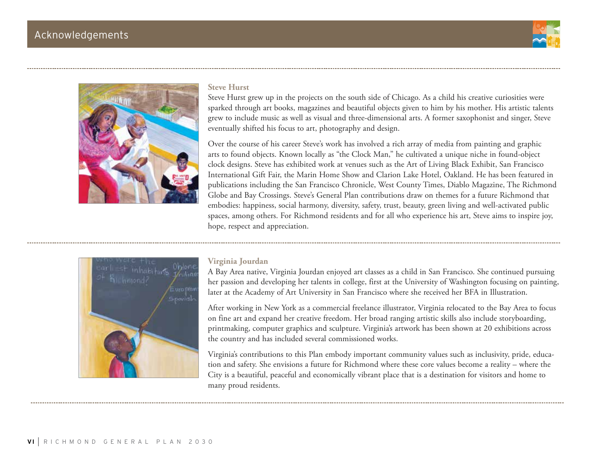



### **Steve Hurst**

Steve Hurst grew up in the projects on the south side of Chicago. As a child his creative curiosities were sparked through art books, magazines and beautiful objects given to him by his mother. His artistic talents grew to include music as well as visual and three-dimensional arts. A former saxophonist and singer, Steve eventually shifted his focus to art, photography and design.

Over the course of his career Steve's work has involved a rich array of media from painting and graphic arts to found objects. Known locally as "the Clock Man," he cultivated a unique niche in found-object clock designs. Steve has exhibited work at venues such as the Art of Living Black Exhibit, San Francisco International Gift Fair, the Marin Home Show and Clarion Lake Hotel, Oakland. He has been featured in publications including the San Francisco Chronicle, West County Times, Diablo Magazine, The Richmond Globe and Bay Crossings. Steve's General Plan contributions draw on themes for a future Richmond that embodies: happiness, social harmony, diversity, safety, trust, beauty, green living and well-activated public spaces, among others. For Richmond residents and for all who experience his art, Steve aims to inspire joy, hope, respect and appreciation.



### **Virginia Jourdan**

A Bay Area native, Virginia Jourdan enjoyed art classes as a child in San Francisco. She continued pursuing her passion and developing her talents in college, first at the University of Washington focusing on painting, later at the Academy of Art University in San Francisco where she received her BFA in Illustration.

After working in New York as a commercial freelance illustrator, Virginia relocated to the Bay Area to focus on fine art and expand her creative freedom. Her broad ranging artistic skills also include storyboarding, printmaking, computer graphics and sculpture. Virginia's artwork has been shown at 20 exhibitions across the country and has included several commissioned works.

Virginia's contributions to this Plan embody important community values such as inclusivity, pride, education and safety. She envisions a future for Richmond where these core values become a reality – where the City is a beautiful, peaceful and economically vibrant place that is a destination for visitors and home to many proud residents.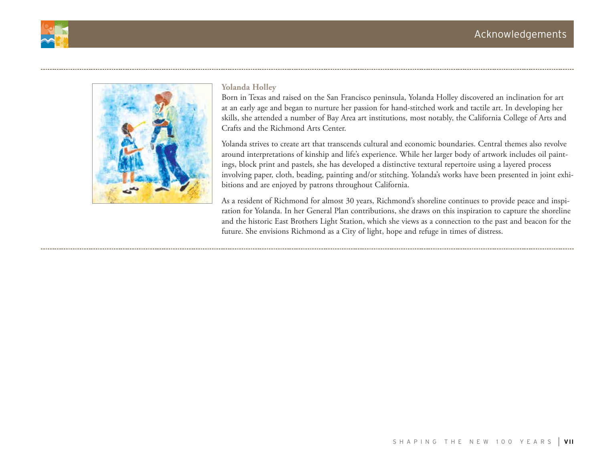



### **Yolanda Holley**

Born in Texas and raised on the San Francisco peninsula, Yolanda Holley discovered an inclination for art at an early age and began to nurture her passion for hand-stitched work and tactile art. In developing her skills, she attended a number of Bay Area art institutions, most notably, the California College of Arts and Crafts and the Richmond Arts Center.

Yolanda strives to create art that transcends cultural and economic boundaries. Central themes also revolve around interpretations of kinship and life's experience. While her larger body of artwork includes oil paintings, block print and pastels, she has developed a distinctive textural repertoire using a layered process involving paper, cloth, beading, painting and/or stitching. Yolanda's works have been presented in joint exhibitions and are enjoyed by patrons throughout California.

As a resident of Richmond for almost 30 years, Richmond's shoreline continues to provide peace and inspiration for Yolanda. In her General Plan contributions, she draws on this inspiration to capture the shoreline and the historic East Brothers Light Station, which she views as a connection to the past and beacon for the future. She envisions Richmond as a City of light, hope and refuge in times of distress.